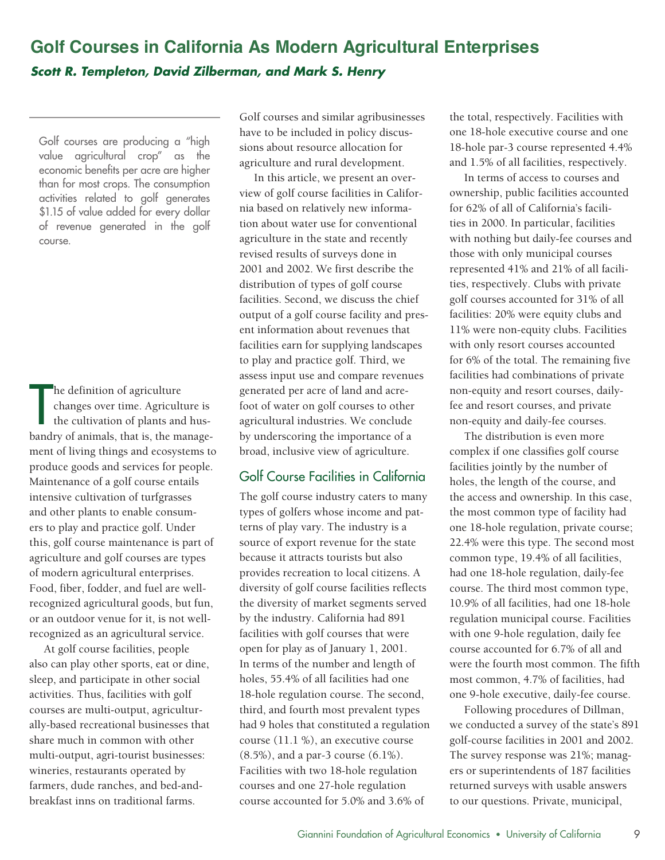# **Golf Courses in California As Modern Agricultural Enterprises** *Scott R. Templeton, David Zilberman, and Mark S. Henry*

Golf courses are producing a "high value agricultural crop" as the economic benefits per acre are higher than for most crops. The consumption activities related to golf generates \$1.15 of value added for every dollar of revenue generated in the golf course.

he definition of agriculture<br>
changes over time. Agriculture is<br>
the cultivation of plants and hus-<br>
bandry of animals, that is, the managehe definition of agriculture changes over time. Agriculture is the cultivation of plants and husment of living things and ecosystems to produce goods and services for people. Maintenance of a golf course entails intensive cultivation of turfgrasses and other plants to enable consumers to play and practice golf. Under this, golf course maintenance is part of agriculture and golf courses are types of modern agricultural enterprises. Food, fiber, fodder, and fuel are wellrecognized agricultural goods, but fun, or an outdoor venue for it, is not wellrecognized as an agricultural service.

At golf course facilities, people also can play other sports, eat or dine, sleep, and participate in other social activities. Thus, facilities with golf courses are multi-output, agriculturally-based recreational businesses that share much in common with other multi-output, agri-tourist businesses: wineries, restaurants operated by farmers, dude ranches, and bed-andbreakfast inns on traditional farms.

Golf courses and similar agribusinesses have to be included in policy discussions about resource allocation for agriculture and rural development.

In this article, we present an overview of golf course facilities in California based on relatively new information about water use for conventional agriculture in the state and recently revised results of surveys done in 2001 and 2002. We first describe the distribution of types of golf course facilities. Second, we discuss the chief output of a golf course facility and present information about revenues that facilities earn for supplying landscapes to play and practice golf. Third, we assess input use and compare revenues generated per acre of land and acrefoot of water on golf courses to other agricultural industries. We conclude by underscoring the importance of a broad, inclusive view of agriculture.

# Golf Course Facilities in California

The golf course industry caters to many types of golfers whose income and patterns of play vary. The industry is a source of export revenue for the state because it attracts tourists but also provides recreation to local citizens. A diversity of golf course facilities reflects the diversity of market segments served by the industry. California had 891 facilities with golf courses that were open for play as of January 1, 2001. In terms of the number and length of holes, 55.4% of all facilities had one 18-hole regulation course. The second, third, and fourth most prevalent types had 9 holes that constituted a regulation course (11.1 %), an executive course (8.5%), and a par-3 course (6.1%). Facilities with two 18-hole regulation courses and one 27-hole regulation course accounted for 5.0% and 3.6% of

the total, respectively. Facilities with one 18-hole executive course and one 18-hole par-3 course represented 4.4% and 1.5% of all facilities, respectively.

In terms of access to courses and ownership, public facilities accounted for 62% of all of California's facilities in 2000. In particular, facilities with nothing but daily-fee courses and those with only municipal courses represented 41% and 21% of all facilities, respectively. Clubs with private golf courses accounted for 31% of all facilities: 20% were equity clubs and 11% were non-equity clubs. Facilities with only resort courses accounted for 6% of the total. The remaining five facilities had combinations of private non-equity and resort courses, dailyfee and resort courses, and private non-equity and daily-fee courses.

The distribution is even more complex if one classifies golf course facilities jointly by the number of holes, the length of the course, and the access and ownership. In this case, the most common type of facility had one 18-hole regulation, private course; 22.4% were this type. The second most common type, 19.4% of all facilities, had one 18-hole regulation, daily-fee course. The third most common type, 10.9% of all facilities, had one 18-hole regulation municipal course. Facilities with one 9-hole regulation, daily fee course accounted for 6.7% of all and were the fourth most common. The fifth most common, 4.7% of facilities, had one 9-hole executive, daily-fee course.

Following procedures of Dillman, we conducted a survey of the state's 891 golf-course facilities in 2001 and 2002. The survey response was 21%; managers or superintendents of 187 facilities returned surveys with usable answers to our questions. Private, municipal,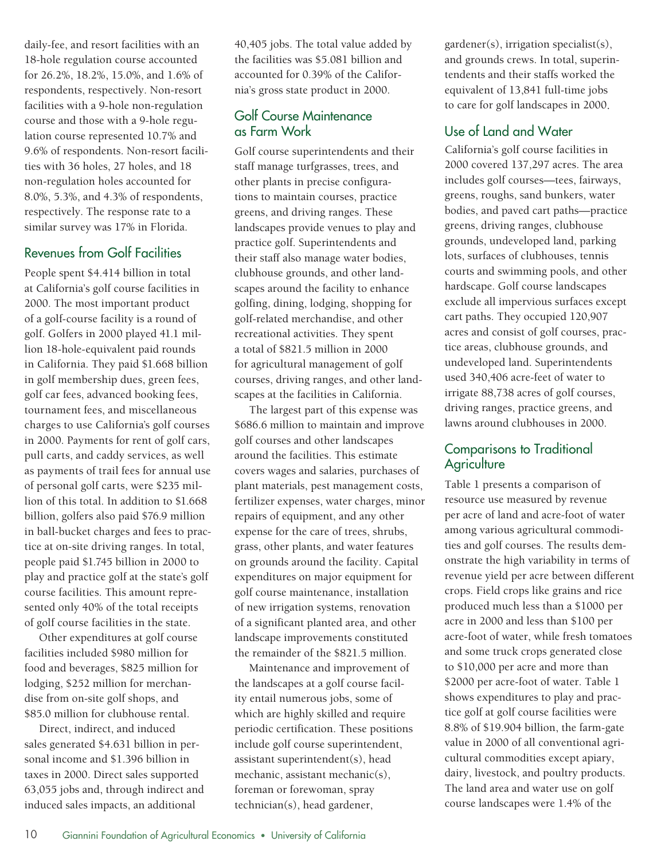daily-fee, and resort facilities with an 18-hole regulation course accounted for 26.2%, 18.2%, 15.0%, and 1.6% of respondents, respectively. Non-resort facilities with a 9-hole non-regulation course and those with a 9-hole regulation course represented 10.7% and 9.6% of respondents. Non-resort facilities with 36 holes, 27 holes, and 18 non-regulation holes accounted for 8.0%, 5.3%, and 4.3% of respondents, respectively. The response rate to a similar survey was 17% in Florida.

#### Revenues from Golf Facilities

People spent \$4.414 billion in total at California's golf course facilities in 2000. The most important product of a golf-course facility is a round of golf. Golfers in 2000 played 41.1 million 18-hole-equivalent paid rounds in California. They paid \$1.668 billion in golf membership dues, green fees, golf car fees, advanced booking fees, tournament fees, and miscellaneous charges to use California's golf courses in 2000. Payments for rent of golf cars, pull carts, and caddy services, as well as payments of trail fees for annual use of personal golf carts, were \$235 million of this total. In addition to \$1.668 billion, golfers also paid \$76.9 million in ball-bucket charges and fees to practice at on-site driving ranges. In total, people paid \$1.745 billion in 2000 to play and practice golf at the state's golf course facilities. This amount represented only 40% of the total receipts of golf course facilities in the state.

Other expenditures at golf course facilities included \$980 million for food and beverages, \$825 million for lodging, \$252 million for merchandise from on-site golf shops, and \$85.0 million for clubhouse rental.

Direct, indirect, and induced sales generated \$4.631 billion in personal income and \$1.396 billion in taxes in 2000. Direct sales supported 63,055 jobs and, through indirect and induced sales impacts, an additional

40,405 jobs. The total value added by the facilities was \$5.081 billion and accounted for 0.39% of the California's gross state product in 2000.

## Golf Course Maintenance as Farm Work

Golf course superintendents and their staff manage turfgrasses, trees, and other plants in precise configurations to maintain courses, practice greens, and driving ranges. These landscapes provide venues to play and practice golf. Superintendents and their staff also manage water bodies, clubhouse grounds, and other landscapes around the facility to enhance golfing, dining, lodging, shopping for golf-related merchandise, and other recreational activities. They spent a total of \$821.5 million in 2000 for agricultural management of golf courses, driving ranges, and other landscapes at the facilities in California.

The largest part of this expense was \$686.6 million to maintain and improve golf courses and other landscapes around the facilities. This estimate covers wages and salaries, purchases of plant materials, pest management costs, fertilizer expenses, water charges, minor repairs of equipment, and any other expense for the care of trees, shrubs, grass, other plants, and water features on grounds around the facility. Capital expenditures on major equipment for golf course maintenance, installation of new irrigation systems, renovation of a significant planted area, and other landscape improvements constituted the remainder of the \$821.5 million.

Maintenance and improvement of the landscapes at a golf course facility entail numerous jobs, some of which are highly skilled and require periodic certification. These positions include golf course superintendent, assistant superintendent(s), head mechanic, assistant mechanic(s), foreman or forewoman, spray technician(s), head gardener,

gardener(s), irrigation specialist(s), and grounds crews. In total, superintendents and their staffs worked the equivalent of 13,841 full-time jobs to care for golf landscapes in 2000.

# Use of Land and Water

California's golf course facilities in 2000 covered 137,297 acres. The area includes golf courses—tees, fairways, greens, roughs, sand bunkers, water bodies, and paved cart paths—practice greens, driving ranges, clubhouse grounds, undeveloped land, parking lots, surfaces of clubhouses, tennis courts and swimming pools, and other hardscape. Golf course landscapes exclude all impervious surfaces except cart paths. They occupied 120,907 acres and consist of golf courses, practice areas, clubhouse grounds, and undeveloped land. Superintendents used 340,406 acre-feet of water to irrigate 88,738 acres of golf courses, driving ranges, practice greens, and lawns around clubhouses in 2000.

## Comparisons to Traditional **Agriculture**

Table 1 presents a comparison of resource use measured by revenue per acre of land and acre-foot of water among various agricultural commodities and golf courses. The results demonstrate the high variability in terms of revenue yield per acre between different crops. Field crops like grains and rice produced much less than a \$1000 per acre in 2000 and less than \$100 per acre-foot of water, while fresh tomatoes and some truck crops generated close to \$10,000 per acre and more than \$2000 per acre-foot of water. Table 1 shows expenditures to play and practice golf at golf course facilities were 8.8% of \$19.904 billion, the farm-gate value in 2000 of all conventional agricultural commodities except apiary, dairy, livestock, and poultry products. The land area and water use on golf course landscapes were 1.4% of the